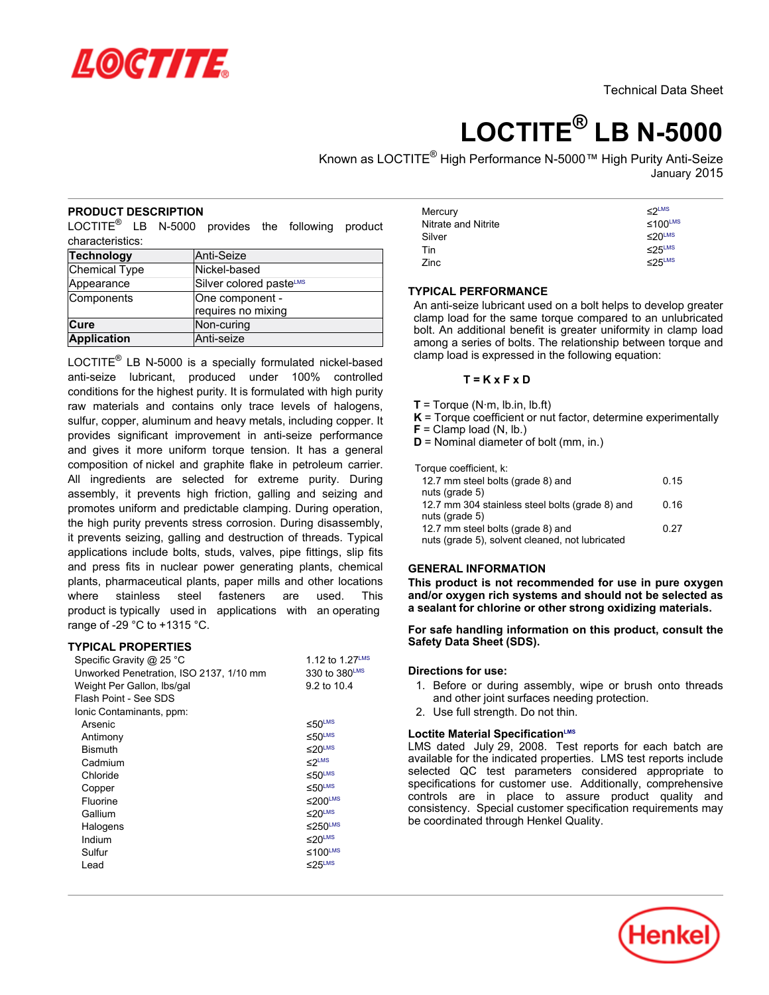

# **LOCTITE® LB N-5000**

Known as LOCTITE® High Performance N-5000™ High Purity Anti-Seize January 2015

# **PRODUCT DESCRIPTION**

 $\mathsf{LOCTITE}^\circledR$  LB N-5000 provides the following product characteristics:

| Technology         | Anti-Seize              |
|--------------------|-------------------------|
| Chemical Type      | Nickel-based            |
| Appearance         | Silver colored pasteLMS |
| Components         | One component -         |
|                    | requires no mixing      |
| ∣Cure              | Non-curing              |
| <b>Application</b> | Anti-seize              |

LOCTITE $^{\circledR}$  LB N-5000 is a specially formulated nickel-based anti-seize lubricant, produced under 100% controlled conditions for the highest purity. It is formulated with high purity raw materials and contains only trace levels of halogens, sulfur, copper, aluminum and heavy metals, including copper. It provides significant improvement in anti-seize performance and gives it more uniform torque tension. It has a general composition of nickel and graphite flake in petroleum carrier. All ingredients are selected for extreme purity. During assembly, it prevents high friction, galling and seizing and promotes uniform and predictable clamping. During operation, the high purity prevents stress corrosion. During disassembly, it prevents seizing, galling and destruction of threads. Typical applications include bolts, studs, valves, pipe fittings, slip fits and press fits in nuclear power generating plants, chemical plants, pharmaceutical plants, paper mills and other locations where stainless steel fasteners are used. This product is typically used in applications with an operating range of -29 °C to +1315 °C.

## **TYPICAL PROPERTIES**

| Specific Gravity @ 25 °C                | 1.12 to 1.27LMS           |
|-----------------------------------------|---------------------------|
| Unworked Penetration, ISO 2137, 1/10 mm | 330 to 380LMS             |
| Weight Per Gallon, Ibs/gal              | 9.2 to 10.4               |
| Flash Point - See SDS                   |                           |
| Ionic Contaminants, ppm:                |                           |
| Arsenic                                 | $50$ <sup>LMS</sup>       |
| Antimony                                | $50$ LMS                  |
| <b>Bismuth</b>                          | $≤20$ <sup>LMS</sup>      |
| Cadmium                                 | $\leq 2^{\text{LMS}}$     |
| Chloride                                | $50$ <sup>LMS</sup>       |
| Copper                                  | $\leq 50$ <sup>LMS</sup>  |
| Fluorine                                | $\leq$ 200 <sup>LMS</sup> |
| Gallium                                 | $\leq$ 20 <sup>LMS</sup>  |
| Halogens                                | $≤250$ <sup>LMS</sup>     |
| Indium                                  | $\leq$ 20 <sup>LMS</sup>  |
| Sulfur                                  | ≤100 <sup>LMS</sup>       |
| Lead                                    | $\leq$ 25LMS              |
|                                         |                           |

| Mercury             | $<$ 2LMS                 |
|---------------------|--------------------------|
| Nitrate and Nitrite | $\leq 100^{\text{LMS}}$  |
| Silver              | $\leq$ 20 <sup>LMS</sup> |
| Tin                 | $\leq$ 25LMS             |
| Zinc                | $\leq$ 25LMS             |

# **TYPICAL PERFORMANCE**

An anti-seize lubricant used on a bolt helps to develop greater clamp load for the same torque compared to an unlubricated bolt. An additional benefit is greater uniformity in clamp load among a series of bolts. The relationship between torque and clamp load is expressed in the following equation:

#### **T = K x F x D**

- $T = T$ orque (N·m, lb.in, lb.ft)
- **K** = Torque coefficient or nut factor, determine experimentally
- $F =$  Clamp load  $(N, lb.)$
- **D** = Nominal diameter of bolt (mm, in.)

Torque coefficient, k:

| 0.15 |
|------|
| 0.16 |
| 0.27 |
|      |

# **GENERAL INFORMATION**

**This product is not recommended for use in pure oxygen and/or oxygen rich systems and should not be selected as a sealant for chlorine or other strong oxidizing materials.**

## **For safe handling information on this product, consult the Safety Data Sheet (SDS).**

## **Directions for use:**

- 1. Before or during assembly, wipe or brush onto threads and other joint surfaces needing protection.
- 2. Use full strength. Do not thin.

# **Loctite Material SpecificationLMS**

LMS dated July 29, 2008. Test reports for each batch are available for the indicated properties. LMS test reports include selected QC test parameters considered appropriate to specifications for customer use. Additionally, comprehensive controls are in place to assure product quality and consistency. Special customer specification requirements may be coordinated through Henkel Quality.